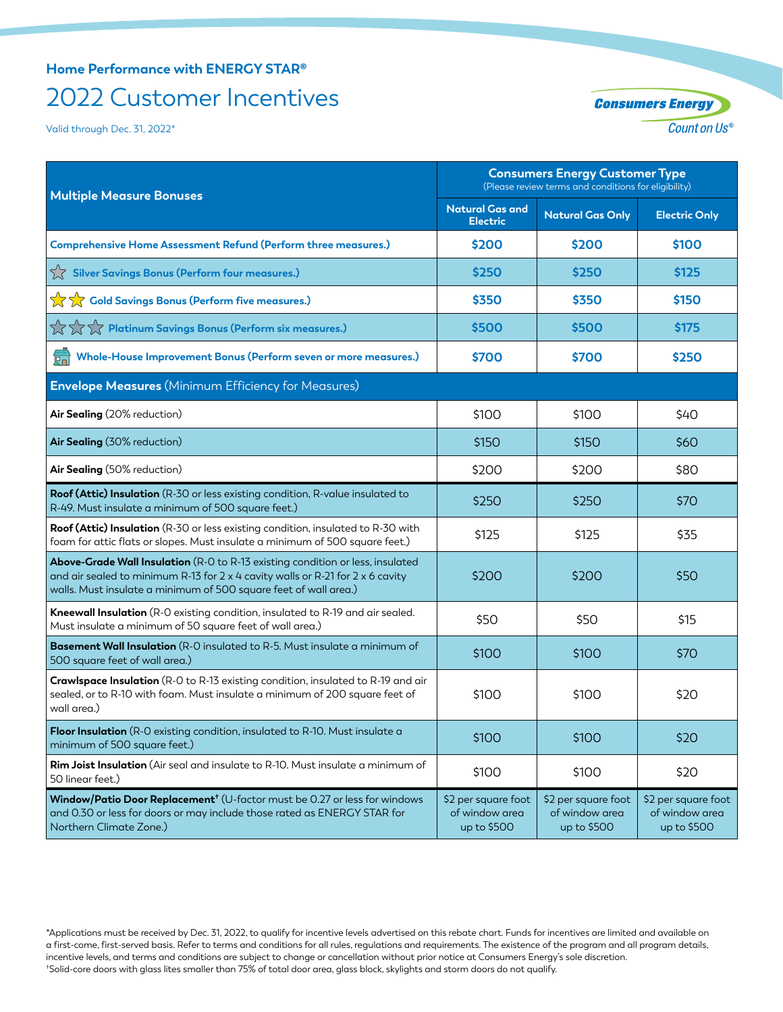## **Home Performance with ENERGY STAR®** 2022 Customer Incentives

Valid through Dec. 31, 2022\*

| <b>Consumers Energy</b>  |
|--------------------------|
| Count on Us <sup>®</sup> |

| <b>Multiple Measure Bonuses</b>                                                                                                                                                                                                      | <b>Consumers Energy Customer Type</b><br>(Please review terms and conditions for eligibility) |                                                      |                                                      |
|--------------------------------------------------------------------------------------------------------------------------------------------------------------------------------------------------------------------------------------|-----------------------------------------------------------------------------------------------|------------------------------------------------------|------------------------------------------------------|
|                                                                                                                                                                                                                                      | <b>Natural Gas and</b><br><b>Electric</b>                                                     | <b>Natural Gas Only</b>                              | <b>Electric Only</b>                                 |
| Comprehensive Home Assessment Refund (Perform three measures.)                                                                                                                                                                       | \$200                                                                                         | \$200                                                | \$100                                                |
| $\sqrt{\phantom{a}}$ Silver Savings Bonus (Perform four measures.)                                                                                                                                                                   | \$250                                                                                         | \$250                                                | \$125                                                |
| <b>A</b> Cold Savings Bonus (Perform five measures.)                                                                                                                                                                                 | \$350                                                                                         | \$350                                                | \$150                                                |
| $\overleftrightarrow{\chi} \overleftrightarrow{\chi}$ Platinum Savings Bonus (Perform six measures.)                                                                                                                                 | \$500                                                                                         | \$500                                                | \$175                                                |
| Whole-House Improvement Bonus (Perform seven or more measures.)                                                                                                                                                                      | \$700                                                                                         | \$700                                                | \$250                                                |
| <b>Envelope Measures</b> (Minimum Efficiency for Measures)                                                                                                                                                                           |                                                                                               |                                                      |                                                      |
| Air Sealing (20% reduction)                                                                                                                                                                                                          | \$100                                                                                         | \$100                                                | \$40                                                 |
| Air Sealing (30% reduction)                                                                                                                                                                                                          | \$150                                                                                         | \$150                                                | \$60                                                 |
| Air Sealing (50% reduction)                                                                                                                                                                                                          | \$200                                                                                         | \$200                                                | \$80                                                 |
| Roof (Attic) Insulation (R-30 or less existing condition, R-value insulated to<br>R-49. Must insulate a minimum of 500 square feet.)                                                                                                 | \$250                                                                                         | \$250                                                | \$70                                                 |
| Roof (Attic) Insulation (R-30 or less existing condition, insulated to R-30 with<br>foam for attic flats or slopes. Must insulate a minimum of 500 square feet.)                                                                     | \$125                                                                                         | \$125                                                | \$35                                                 |
| Above-Grade Wall Insulation (R-O to R-13 existing condition or less, insulated<br>and air sealed to minimum R-13 for 2 x 4 cavity walls or R-21 for 2 x 6 cavity<br>walls. Must insulate a minimum of 500 square feet of wall area.) | \$200                                                                                         | \$200                                                | \$50                                                 |
| <b>Kneewall Insulation</b> (R-O existing condition, insulated to R-19 and air sealed.<br>Must insulate a minimum of 50 square feet of wall area.)                                                                                    | \$50                                                                                          | \$50                                                 | \$15                                                 |
| Basement Wall Insulation (R-O insulated to R-5. Must insulate a minimum of<br>500 square feet of wall area.)                                                                                                                         | \$100                                                                                         | \$100                                                | \$70                                                 |
| Crawlspace Insulation (R-O to R-13 existing condition, insulated to R-19 and air<br>sealed, or to R-10 with foam. Must insulate a minimum of 200 square feet of<br>wall area.)                                                       | \$100                                                                                         | \$100                                                | \$20                                                 |
| Floor Insulation (R-O existing condition, insulated to R-10. Must insulate a<br>minimum of 500 square feet.)                                                                                                                         | \$100                                                                                         | \$100                                                | \$20                                                 |
| Rim Joist Insulation (Air seal and insulate to R-10. Must insulate a minimum of<br>50 linear feet.)                                                                                                                                  | \$100                                                                                         | \$100                                                | \$20                                                 |
| Window/Patio Door Replacement <sup>+</sup> (U-factor must be 0.27 or less for windows<br>and 0.30 or less for doors or may include those rated as ENERGY STAR for<br>Northern Climate Zone.)                                         | \$2 per square foot<br>of window area<br>up to \$500                                          | \$2 per square foot<br>of window area<br>up to \$500 | \$2 per square foot<br>of window area<br>up to \$500 |

\*Applications must be received by Dec. 31, 2022, to qualify for incentive levels advertised on this rebate chart. Funds for incentives are limited and available on a first-come, first-served basis. Refer to terms and conditions for all rules, regulations and requirements. The existence of the program and all program details, incentive levels, and terms and conditions are subject to change or cancellation without prior notice at Consumers Energy's sole discretion. † Solid-core doors with glass lites smaller than 75% of total door area, glass block, skylights and storm doors do not qualify.